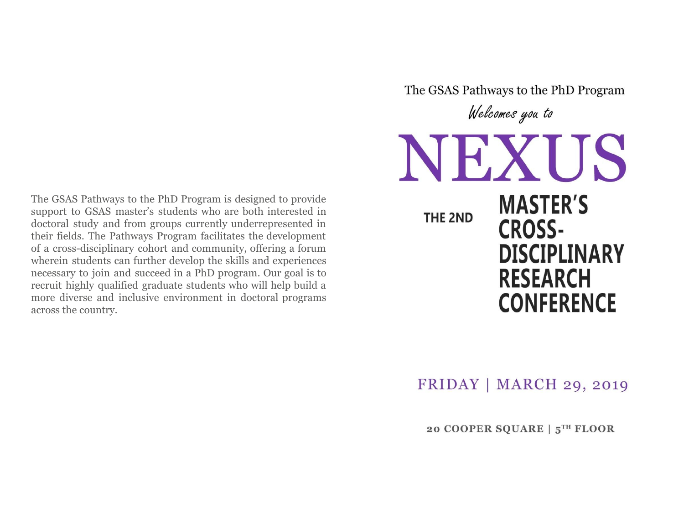The GSAS Pathways to the PhD Program is designed to provide support to GSAS master's students who are both interested in doctoral study and from groups currently underrepresented in their fields. The Pathways Program facilitates the development of a cross-disciplinary cohort and community, offering a forum wherein students can further develop the skills and experiences necessary to join and succeed in a PhD program. Our goal is to recruit highly qualified graduate students who will help build a more diverse and inclusive environment in doctoral programs across the country.

Welcomes you to NEXUS **MASTER'S** THE 2ND **CROSS-DISCIPLINARY RESEARCH CONFERENCE** 

The GSAS Pathways to the PhD Program

 $FRIDAY$  | MARCH 29, 2019

20 COOPER SQUARE | 5TH FLOOR